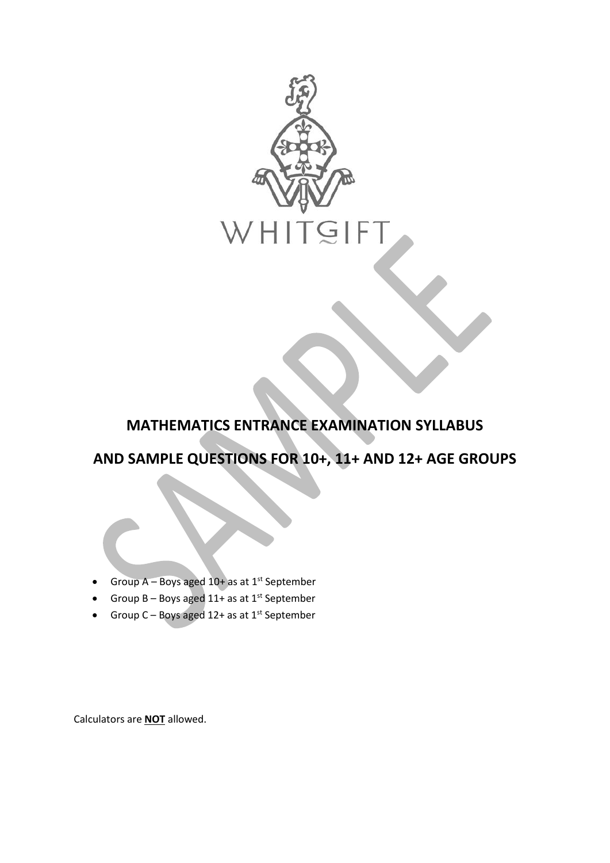

## **MATHEMATICS ENTRANCE EXAMINATION SYLLABUS**

# **AND SAMPLE QUESTIONS FOR 10+, 11+ AND 12+ AGE GROUPS**

- Group  $A Boys$  aged  $10 + as$  at  $1<sup>st</sup>$  September
- Group B Boys aged  $11+$  as at  $1<sup>st</sup>$  September
- Group  $C Boys$  aged 12+ as at 1<sup>st</sup> September

Calculators are **NOT** allowed.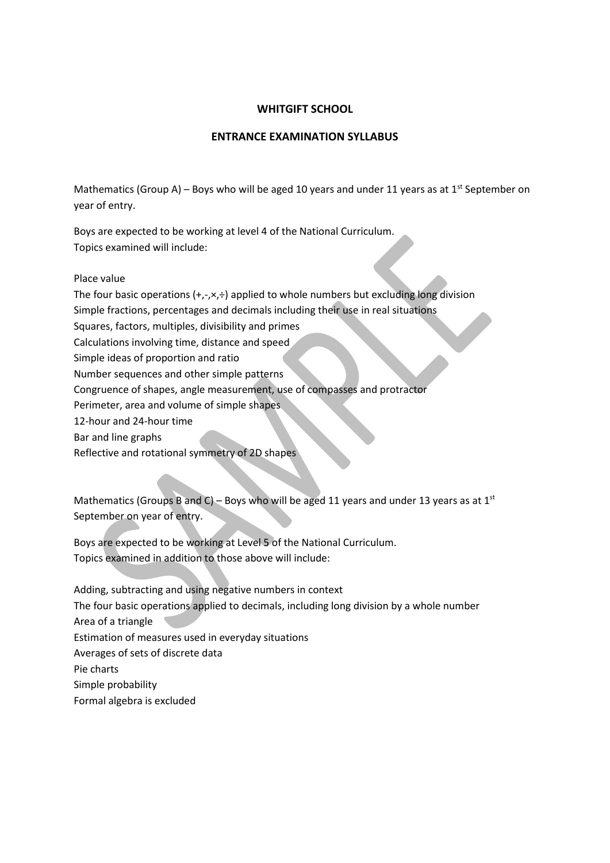### **WHITGIFT SCHOOL**

## **ENTRANCE EXAMINATION SYLLABUS**

Mathematics (Group A) – Boys who will be aged 10 years and under 11 years as at 1<sup>st</sup> September on year of entry.

Boys are expected to be working at level 4 of the National Curriculum. Topics examined will include:

Place value

The four basic operations  $(+,-, \times, \div)$  applied to whole numbers but excluding long division

Simple fractions, percentages and decimals including their use in real situations

Squares, factors, multiples, divisibility and primes

Calculations involving time, distance and speed

Simple ideas of proportion and ratio

Number sequences and other simple patterns

Congruence of shapes, angle measurement, use of compasses and protractor

Perimeter, area and volume of simple shapes

12-hour and 24-hour time

Bar and line graphs

Reflective and rotational symmetry of 2D shapes

Mathematics (Groups B and C) – Boys who will be aged 11 years and under 13 years as at 1st September on year of entry.

Boys are expected to be working at Level 5 of the National Curriculum. Topics examined in addition to those above will include:

Adding, subtracting and using negative numbers in context The four basic operations applied to decimals, including long division by a whole number Area of a triangle Estimation of measures used in everyday situations Averages of sets of discrete data Pie charts Simple probability Formal algebra is excluded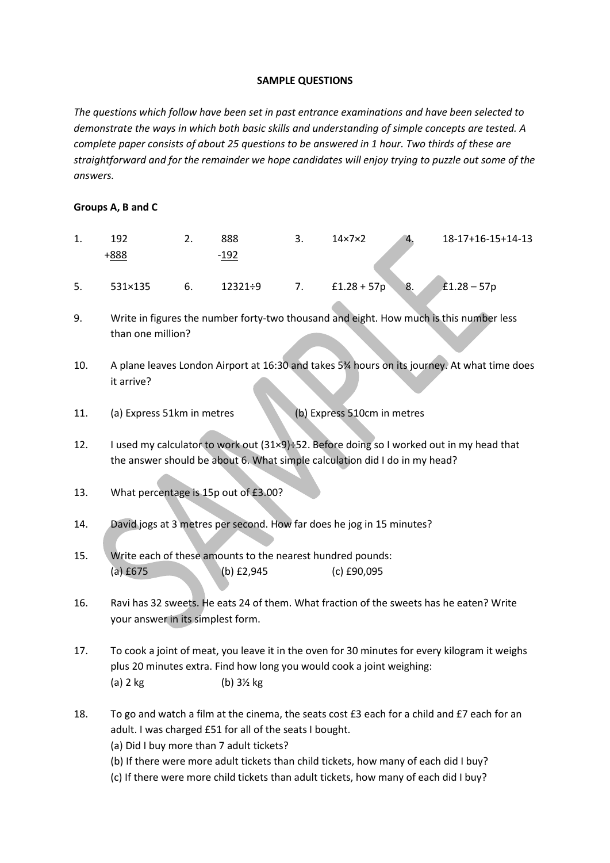#### **SAMPLE QUESTIONS**

*The questions which follow have been set in past entrance examinations and have been selected to demonstrate the ways in which both basic skills and understanding of simple concepts are tested. A complete paper consists of about 25 questions to be answered in 1 hour. Two thirds of these are straightforward and for the remainder we hope candidates will enjoy trying to puzzle out some of the answers.*

#### **Groups A, B and C**

| 1. | 102         | <u>.</u> . | 888    | ، پ | $14\times7\times2$ | 4. | 18-17+16-15+14-13 |
|----|-------------|------------|--------|-----|--------------------|----|-------------------|
|    | <u>888+</u> |            | $-192$ |     |                    |    |                   |
|    |             |            |        |     |                    |    | <b>STATE</b>      |

9. Write in figures the number forty-two thousand and eight. How much is this number less than one million?

5. 531×135 6. 12321÷9 7. £1.28 + 57p 8. £1.28 – 57p

- 10. A plane leaves London Airport at 16:30 and takes 5¾ hours on its journey. At what time does it arrive?
- 11. (a) Express 51km in metres (b) Express 510cm in metres
- 12. I used my calculator to work out (31×9)÷52. Before doing so I worked out in my head that the answer should be about 6. What simple calculation did I do in my head?
- 13. What percentage is 15p out of £3.00?
- 14. David jogs at 3 metres per second. How far does he jog in 15 minutes?
- 15. Write each of these amounts to the nearest hundred pounds: (a) £675 (b) £2,945 (c) £90,095
- 16. Ravi has 32 sweets. He eats 24 of them. What fraction of the sweets has he eaten? Write your answer in its simplest form.
- 17. To cook a joint of meat, you leave it in the oven for 30 minutes for every kilogram it weighs plus 20 minutes extra. Find how long you would cook a joint weighing: (a)  $2 \text{ kg}$  (b)  $3\frac{1}{2} \text{ kg}$
- 18. To go and watch a film at the cinema, the seats cost £3 each for a child and £7 each for an adult. I was charged £51 for all of the seats I bought.
	- (a) Did I buy more than 7 adult tickets?
	- (b) If there were more adult tickets than child tickets, how many of each did I buy?
	- (c) If there were more child tickets than adult tickets, how many of each did I buy?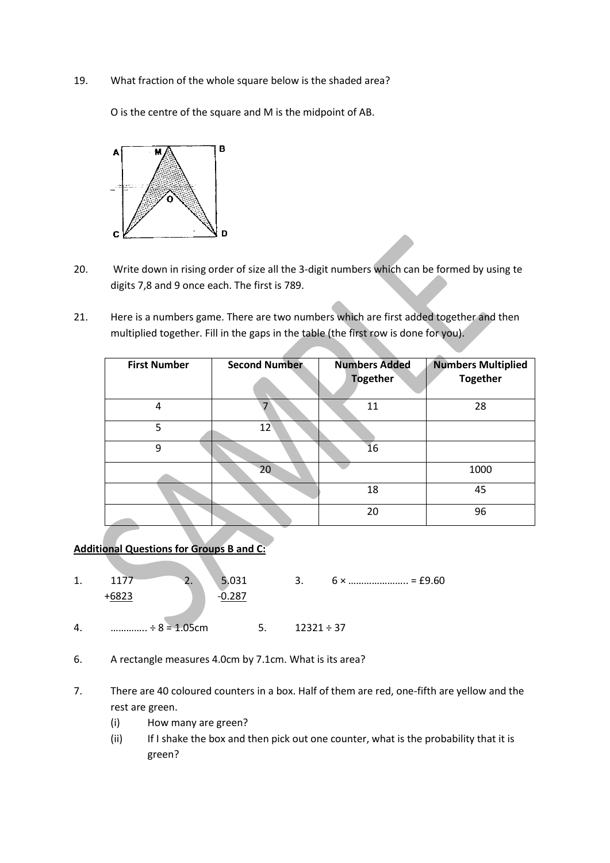19. What fraction of the whole square below is the shaded area?

O is the centre of the square and M is the midpoint of AB.



- 20. Write down in rising order of size all the 3-digit numbers which can be formed by using te digits 7,8 and 9 once each. The first is 789.
- 21. Here is a numbers game. There are two numbers which are first added together and then multiplied together. Fill in the gaps in the table (the first row is done for you).

| <b>First Number</b> | <b>Second Number</b> | <b>Numbers Added</b><br><b>Together</b> | <b>Numbers Multiplied</b><br><b>Together</b> |
|---------------------|----------------------|-----------------------------------------|----------------------------------------------|
| 4                   |                      | 11                                      | 28                                           |
| 5                   | $12^{\circ}$         |                                         |                                              |
| 9                   |                      | 16                                      |                                              |
|                     | 20                   |                                         | 1000                                         |
|                     |                      | 18                                      | 45                                           |
|                     |                      | 20                                      | 96                                           |

**Additional Questions for Groups B and C:**

- 1.  $1177$  2.  $5.031$  3.  $6 \times$  …  $1177$  = £9.60  $+6823$   $-0.287$ 4. ………….. ÷  $8 = 1.05$ cm 5. 12321 ÷ 37
- 6. A rectangle measures 4.0cm by 7.1cm. What is its area?
- 7. There are 40 coloured counters in a box. Half of them are red, one-fifth are yellow and the rest are green.
	- (i) How many are green?
	- (ii) If I shake the box and then pick out one counter, what is the probability that it is green?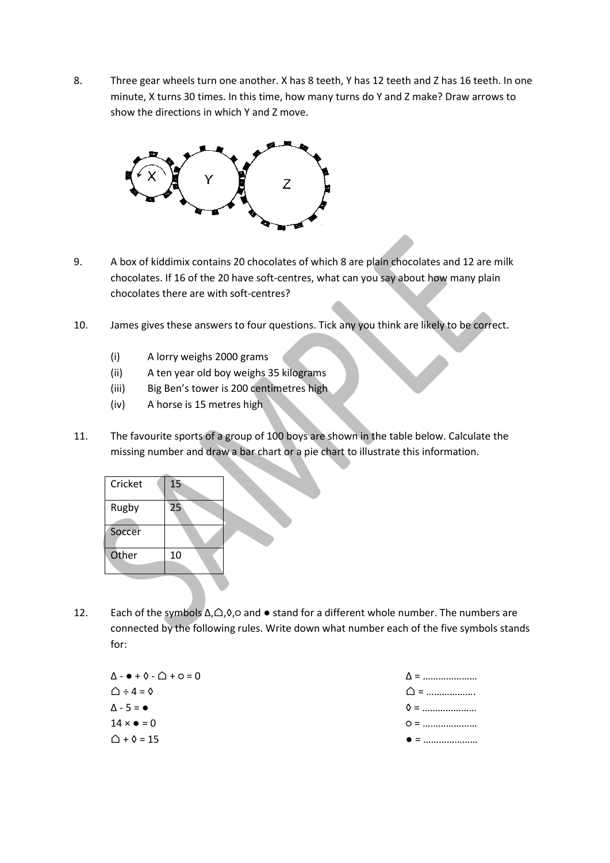8. Three gear wheels turn one another. X has 8 teeth, Y has 12 teeth and Z has 16 teeth. In one minute, X turns 30 times. In this time, how many turns do Y and Z make? Draw arrows to show the directions in which Y and Z move.



- 9. A box of kiddimix contains 20 chocolates of which 8 are plain chocolates and 12 are milk chocolates. If 16 of the 20 have soft-centres, what can you say about how many plain chocolates there are with soft-centres?
- 10. James gives these answers to four questions. Tick any you think are likely to be correct.
	- (i) A lorry weighs 2000 grams
	- (ii) A ten year old boy weighs 35 kilograms
	- (iii) Big Ben's tower is 200 centimetres high
	- (iv) A horse is 15 metres high
- 11. The favourite sports of a group of 100 boys are shown in the table below. Calculate the missing number and draw a bar chart or a pie chart to illustrate this information.

| Cricket | 15 |
|---------|----|
| Rugby   | 25 |
| Soccer  |    |
| Other   | 10 |
|         |    |

12. Each of the symbols ∆,⌂,◊,○ and ● stand for a different whole number. The numbers are connected by the following rules. Write down what number each of the five symbols stands for:

| $\Delta - \bullet + \lozenge - \triangle + \circ = 0$ | $\Delta$ =   |
|-------------------------------------------------------|--------------|
| $\triangle$ ÷ 4 = 0                                   | $\bigcap$ =  |
| $\Delta - 5 = \bullet$                                | $\lozenge$ = |
| $14 \times \bullet = 0$                               | $Q =$        |
| $\triangle$ + $\lozenge$ = 15                         | $\bullet =$  |